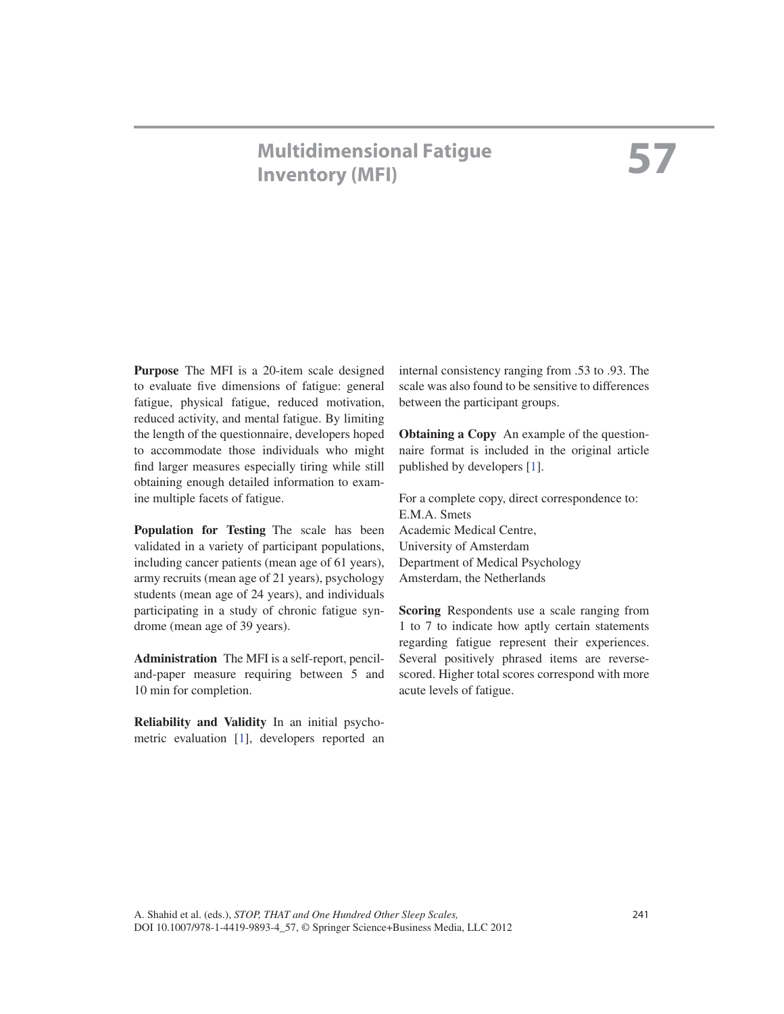# **Multidimensional Fatigue Inventory (MFI)**

**Purpose** The MFI is a 20-item scale designed to evaluate five dimensions of fatigue: general fatigue, physical fatigue, reduced motivation, reduced activity, and mental fatigue. By limiting the length of the questionnaire, developers hoped to accommodate those individuals who might find larger measures especially tiring while still obtaining enough detailed information to examine multiple facets of fatigue.

 **Population for Testing** The scale has been validated in a variety of participant populations, including cancer patients (mean age of 61 years), army recruits (mean age of 21 years), psychology students (mean age of 24 years), and individuals participating in a study of chronic fatigue syndrome (mean age of 39 years).

 **Administration** The MFI is a self-report, penciland-paper measure requiring between 5 and 10 min for completion.

 **Reliability and Validity** In an initial psychometric evaluation  $[1]$ , developers reported an internal consistency ranging from .53 to .93. The scale was also found to be sensitive to differences between the participant groups.

 **Obtaining a Copy** An example of the questionnaire format is included in the original article published by developers [1].

 For a complete copy, direct correspondence to: E.M.A. Smets Academic Medical Centre, University of Amsterdam Department of Medical Psychology Amsterdam, the Netherlands

 **Scoring** Respondents use a scale ranging from 1 to 7 to indicate how aptly certain statements regarding fatigue represent their experiences. Several positively phrased items are reversescored. Higher total scores correspond with more acute levels of fatigue.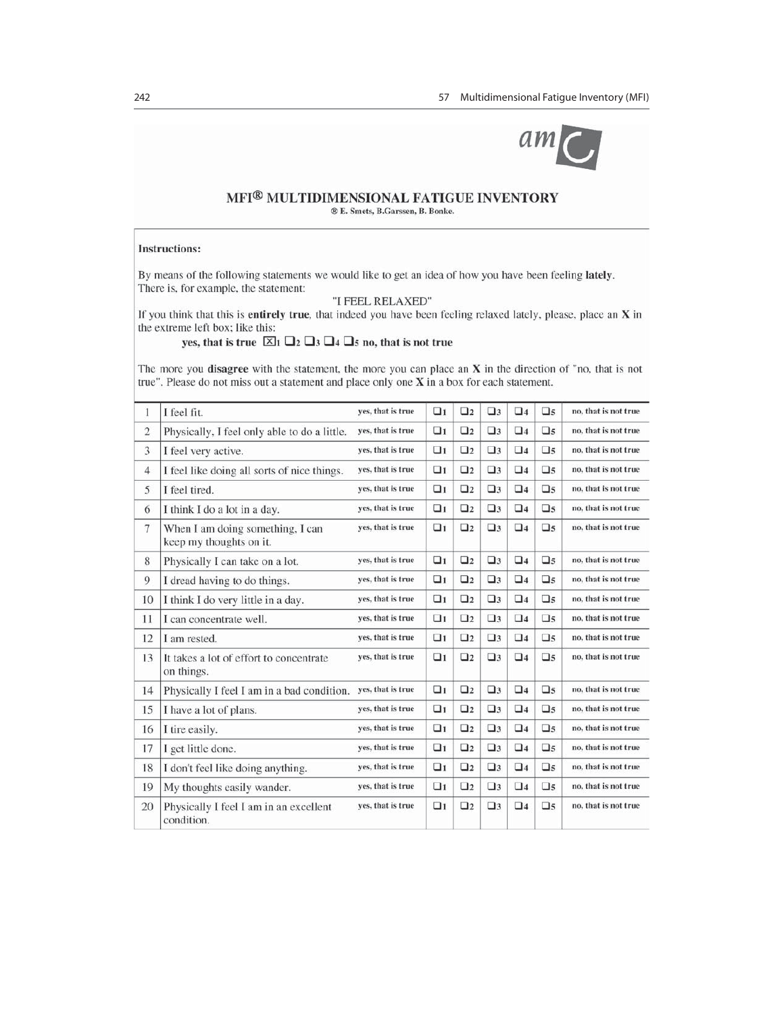

### MFI® MULTIDIMENSIONAL FATIGUE INVENTORY ® E. Smets, B. Garssen, B. Bonke.

#### **Instructions:**

By means of the following statements we would like to get an idea of how you have been feeling lately. There is, for example, the statement:

"I FEEL RELAXED"

If you think that this is entirely true, that indeed you have been feeling relaxed lately, please, place an X in the extreme left box; like this:

yes, that is true  $\boxtimes_1 \square_2 \square_3 \square_4 \square_5$  no, that is not true

The more you disagree with the statement, the more you can place an X in the direction of "no, that is not true". Please do not miss out a statement and place only one  $X$  in a box for each statement.

| 1              | I feel fit.                                                 | ves, that is true | $\Box$ 1 | $\Box$ 2  | $\square$ 3 | $\square$ 4 | $\square$   | no, that is not true |
|----------------|-------------------------------------------------------------|-------------------|----------|-----------|-------------|-------------|-------------|----------------------|
| $\overline{2}$ | Physically, I feel only able to do a little.                | yes, that is true | $\Box$ 1 | $\Box$ 2  | $\square$ 3 | $\square$ 4 | $\square$ 5 | no, that is not true |
| 3              | I feel very active.                                         | yes, that is true | $\Box$ 1 | $\Box$ 2  | $\square$ 3 | $\Box$ 4    | $\square$ 5 | no, that is not true |
| $\overline{4}$ | I feel like doing all sorts of nice things.                 | ves, that is true | $\Box$ 1 | $\Box$ 2  | $\square$ 3 | $\square$ 4 | $\square$ 5 | no, that is not true |
| 5              | I feel tired.                                               | yes, that is true | $\Box$   | $\square$ | $\square$ 3 | $\square$ 4 | $\square$   | no, that is not true |
| 6              | I think I do a lot in a day.                                | yes, that is true | $\Box$   | $\Box$    | $\square$ 3 | $\square$ 4 | $\square$   | no, that is not true |
| $\overline{7}$ | When I am doing something, I can<br>keep my thoughts on it. | ves, that is true | $\Box$ 1 | $\Box$ 2  | $\square$ 3 | $\square$ 4 | $\square$ 5 | no, that is not true |
| 8              | Physically I can take on a lot.                             | ves, that is true | $\Box$ 1 | $\square$ | $\square$ 3 | $\square$ 4 | $\square$   | no, that is not true |
| 9              | I dread having to do things.                                | yes, that is true | $\Box$ 1 | $\square$ | $\square$ 3 | $\square$ 4 | $\square$   | no, that is not true |
| 10             | I think I do very little in a day.                          | yes, that is true | $\Box$ 1 | $\square$ | $\square$ 3 | $\square$ 4 | $\square$ 5 | no, that is not true |
| 11             | I can concentrate well.                                     | ves, that is true | $\Box$   | $\Box$ 2  | $\square$ 3 | $\square$ 4 | $\square$ 5 | no, that is not true |
| 12             | I am rested.                                                | yes, that is true | $\Box$ 1 | $\square$ | $\square$ 3 | $\square$ 4 | $\square$ 5 | no, that is not true |
| 13             | It takes a lot of effort to concentrate<br>on things.       | yes, that is true | $\Box$ 1 | $\Box$ 2  | $\Box$ 3    | $\square$ 4 | $\square$ 5 | no, that is not true |
| 14             | Physically I feel I am in a bad condition.                  | yes, that is true | $\Box$   | $\Box$ 2  | $\square$ 3 | $\Box$ 4    | $\square$   | no, that is not true |
| 15             | I have a lot of plans.                                      | ves, that is true | $\Box$ 1 | $\square$ | $\square$ 3 | $\square$ 4 | $\square$ 5 | no, that is not true |
| 16             | I tire easily.                                              | yes, that is true | $\Box$ 1 | $\square$ | $\square$ 3 | $\square$ 4 | $\square$ 5 | no, that is not true |
| 17             | I get little done.                                          | yes, that is true | $\Box$ 1 | $\Box$ 2  | $\square$ 3 | $\square$ 4 | $\square$ 5 | no, that is not true |
| 18             | I don't feel like doing anything.                           | ves, that is true | $\Box$ 1 | $\Box$ 2  | $\square$ 3 | $\square$ 4 | $\square$ 5 | no, that is not true |
| 19             | My thoughts easily wander.                                  | yes, that is true | $\Box$ 1 | $\Box$ 2  | $\square$ 3 | $\square$ 4 | $\square$ 5 | no, that is not true |
| 20             | Physically I feel I am in an excellent<br>condition.        | yes, that is true | $\Box$ 1 | $\Box$ 2  | $\square$ 3 | $\square$ 4 | $\square$   | no, that is not true |